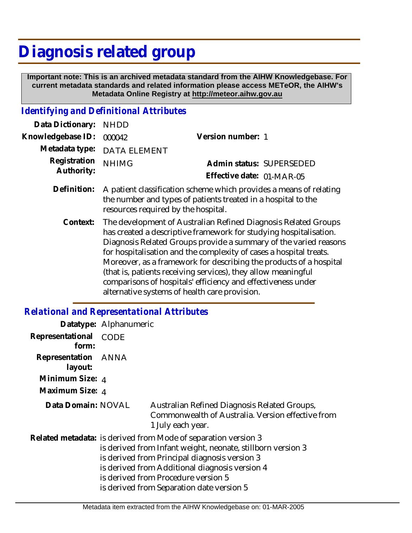# **Diagnosis related group**

 **Important note: This is an archived metadata standard from the AIHW Knowledgebase. For current metadata standards and related information please access METeOR, the AIHW's Metadata Online Registry at http://meteor.aihw.gov.au**

## *Identifying and Definitional Attributes*

| Data Dictionary:           | <b>NHDD</b>                                                                                                                                                                                                                                                                                                                                                                                                                                                                                                                           |                                                       |
|----------------------------|---------------------------------------------------------------------------------------------------------------------------------------------------------------------------------------------------------------------------------------------------------------------------------------------------------------------------------------------------------------------------------------------------------------------------------------------------------------------------------------------------------------------------------------|-------------------------------------------------------|
| Knowledgebase ID:          | 000042                                                                                                                                                                                                                                                                                                                                                                                                                                                                                                                                | Version number: 1                                     |
| Metadata type:             | <b>DATA ELEMENT</b>                                                                                                                                                                                                                                                                                                                                                                                                                                                                                                                   |                                                       |
| Registration<br>Authority: | <b>NHIMG</b>                                                                                                                                                                                                                                                                                                                                                                                                                                                                                                                          | Admin status: SUPERSEDED<br>Effective date: 01-MAR-05 |
| Definition:                | A patient classification scheme which provides a means of relating<br>the number and types of patients treated in a hospital to the<br>resources required by the hospital.                                                                                                                                                                                                                                                                                                                                                            |                                                       |
| Context:                   | The development of Australian Refined Diagnosis Related Groups<br>has created a descriptive framework for studying hospitalisation.<br>Diagnosis Related Groups provide a summary of the varied reasons<br>for hospitalisation and the complexity of cases a hospital treats.<br>Moreover, as a framework for describing the products of a hospital<br>(that is, patients receiving services), they allow meaningful<br>comparisons of hospitals' efficiency and effectiveness under<br>alternative systems of health care provision. |                                                       |

#### *Relational and Representational Attributes*

|                           | Datatype: Alphanumeric |                                                                                                                                                                                                                                                                                                                      |
|---------------------------|------------------------|----------------------------------------------------------------------------------------------------------------------------------------------------------------------------------------------------------------------------------------------------------------------------------------------------------------------|
| Representational<br>form: | <b>CODE</b>            |                                                                                                                                                                                                                                                                                                                      |
| Representation<br>layout: | ANNA                   |                                                                                                                                                                                                                                                                                                                      |
| Minimum Size: 4           |                        |                                                                                                                                                                                                                                                                                                                      |
| Maximum Size: 4           |                        |                                                                                                                                                                                                                                                                                                                      |
| Data Domain: NOVAL        |                        | Australian Refined Diagnosis Related Groups,<br>Commonwealth of Australia. Version effective from<br>1 July each year.                                                                                                                                                                                               |
|                           |                        | Related metadata: is derived from Mode of separation version 3<br>is derived from Infant weight, neonate, stillborn version 3<br>is derived from Principal diagnosis version 3<br>is derived from Additional diagnosis version 4<br>is derived from Procedure version 5<br>is derived from Separation date version 5 |